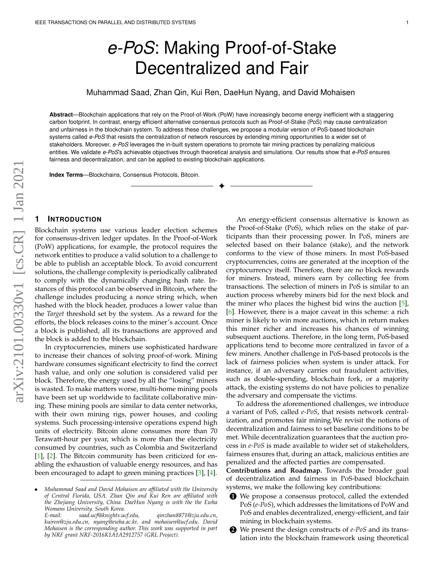# *e-PoS*: Making Proof-of-Stake Decentralized and Fair

Muhammad Saad, Zhan Qin, Kui Ren, DaeHun Nyang, and David Mohaisen

**Abstract**—Blockchain applications that rely on the Proof-of-Work (PoW) have increasingly become energy inefficient with a staggering carbon footprint. In contrast, energy efficient alternative consensus protocols such as Proof-of-Stake (PoS) may cause centralization and unfairness in the blockchain system. To address these challenges, we propose a modular version of PoS-based blockchain systems called *e-PoS* that resists the centralization of network resources by extending mining opportunities to a wider set of stakeholders. Moreover, *e-PoS* leverages the in-built system operations to promote fair mining practices by penalizing malicious entities. We validate *e-PoS*'s achievable objectives through theoretical analysis and simulations. Our results show that *e-PoS* ensures fairness and decentralization, and can be applied to existing blockchain applications.

✦

**Index Terms**—Blockchains, Consensus Protocols, Bitcoin.

# arXiv:2101.00330v1 [cs.CR] 1 Jan 2021 arXiv:2101.00330v1 [cs.CR] 1 Jan 2021

# **1 INTRODUCTION**

Blockchain systems use various leader election schemes for consensus-driven ledger updates. In the Proof-of-Work (PoW) applications, for example, the protocol requires the network entities to produce a valid solution to a challenge to be able to publish an acceptable block. To avoid concurrent solutions, the challenge complexity is periodically calibrated to comply with the dynamically changing hash rate. Instances of this protocol can be observed in Bitcoin, where the challenge includes producing a nonce string which, when hashed with the block header, produces a lower value than the *Target* threshold set by the system. As a reward for the efforts, the block releases coins to the miner's account. Once a block is published, all its transactions are approved and the block is added to the blockchain.

In cryptocurrencies, miners use sophisticated hardware to increase their chances of solving proof-of-work. Mining hardware consumes significant electricity to find the correct hash value, and only one solution is considered valid per block. Therefore, the energy used by all the "losing" miners is wasted. To make matters worse, multi-home mining pools have been set up worldwide to facilitate collaborative mining. These mining pools are similar to data center networks, with their own mining rigs, power houses, and cooling systems. Such processing-intensive operations expend high units of electricity. Bitcoin alone consumes more than 70 Terawatt-hour per year, which is more than the electricity consumed by countries, such as Colombia and Switzerland [\[1\]](#page-11-0), [\[2\]](#page-11-1). The Bitcoin community has been criticized for enabling the exhaustion of valuable energy resources, and has been encouraged to adapt to green mining practices [\[3\]](#page-11-2), [\[4\]](#page-11-3).

An energy-efficient consensus alternative is known as the Proof-of-Stake (PoS), which relies on the stake of participants than their processing power. In PoS, miners are selected based on their balance (stake), and the network conforms to the view of those miners. In most PoS-based cryptocurrencies, coins are generated at the inception of the cryptocurrency itself. Therefore, there are no block rewards for miners. Instead, miners earn by collecting fee from transactions. The selection of miners in PoS is similar to an auction process whereby miners bid for the next block and the miner who places the highest bid wins the auction [\[5\]](#page-11-4), [\[6\]](#page-11-5). However, there is a major caveat in this scheme: a rich miner is likely to win more auctions, which in return makes this miner richer and increases his chances of winning subsequent auctions. Therefore, in the long term, PoS-based applications tend to become more centralized in favor of a few miners. Another challenge in PoS-based protocols is the lack of fairness policies when system is under attack. For instance, if an adversary carries out fraudulent activities, such as double-spending, blockchain fork, or a majority attack, the existing systems do not have policies to penalize the adversary and compensate the victims.

To address the aforementioned challenges, we introduce a variant of PoS, called *e-PoS*, that resists network centralization, and promotes fair mining.We revisit the notions of decentralization and fairness to set baseline conditions to be met. While decentralization guarantees that the auction process in *e-PoS* is made available to wider set of stakeholders, fairness ensures that, during an attack, malicious entities are penalized and the affected parties are compensated.

**Contributions and Roadmap.** Towards the broader goal of decentralization and fairness in PoS-based blockchain systems, we make the following key contributions:

- **1** We propose a consensus protocol, called the extended PoS (*e-PoS*), which addresses the limitations of PoW and PoS and enables decentralized, energy-efficient, and fair mining in blockchain systems.
- **2** We present the design constructs of *e-PoS* and its translation into the blockchain framework using theoretical

<sup>•</sup> *Muhammad Saad and David Mohaisen are affiliated with the University of Central Florida, USA. Zhan Qin and Kui Ren are affiliated with the Zhejiang University, China. DaeHun Nyang is with the the Ewha Womans University. South Korea.*

*E-mail: saad.ucf@knights.ucf.edu, qinzhan8871@zju.edu.cn, kuiren@zju.edu.cn, nyang@ewha.ac.kr, and mohaisen@ucf.edu. David Mohaisen is the corresponding author. This work was supported in part by NRF grant NRF-2016K1A1A2912757 (GRL Project).*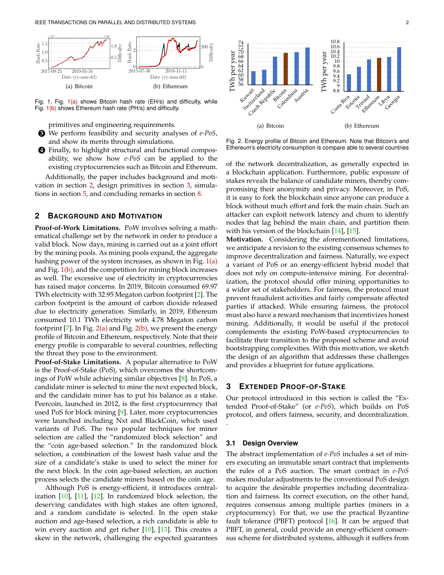

<span id="page-1-0"></span>Fig. 1. Fig. [1\(a\)](#page-1-0) shows Bitcoin hash rate (EH/s) and difficulty, while Fig. [1\(b\)](#page-1-1) shows Ethereum hash rate (PH/s) and difficulty.

<span id="page-1-1"></span>primitives and engineering requirements.

- **3** We perform feasibility and security analyses of *e-PoS*, and show its merits through simulations.
- **4** Finally, to highlight structural and functional composability, we show how *e-PoS* can be applied to the existing cryptocurrencies such as Bitcoin and Ethereum.

Additionally, the paper includes background and motivation in section [2,](#page-1-2) design primitives in section [3,](#page-1-3) simulations in section [5,](#page-7-0) and concluding remarks in section [8.](#page-11-6)

# <span id="page-1-2"></span>**2 BACKGROUND AND MOTIVATION**

**Proof-of-Work Limitations.** PoW involves solving a mathematical challenge set by the network in order to produce a valid block. Now days, mining is carried out as a joint effort by the mining pools. As mining pools expand, the aggregate hashing power of the system increases, as shown in Fig.  $1(a)$ and Fig.  $1(b)$ , and the competition for mining block increases as well. The excessive use of electricity in cryptocurrencies has raised major concerns. In 2019, Bitcoin consumed 69.97 TWh electricity with 32.95 Megaton carbon footprint [\[2\]](#page-11-1). The carbon footprint is the amount of carbon dioxide released due to electricity generation. Similarly, in 2019, Ethereum consumed 10.1 TWh electricity with 4.78 Megaton carbon footprint [\[7\]](#page-11-7). In Fig.  $2(a)$  and Fig.  $2(b)$ , we present the energy profile of Bitcoin and Ethereum, respectively. Note that their energy profile is comparable to several countries, reflecting the threat they pose to the environment.

**Proof-of-Stake Limitations.** A popular alternative to PoW is the Proof-of-Stake (PoS), which overcomes the shortcomings of PoW while achieving similar objectives [\[8\]](#page-11-8). In PoS, a candidate miner is selected to mine the next expected block, and the candidate miner has to put his balance as a stake. Peercoin, launched in 2012, is the first cryptocurrency that used PoS for block mining [\[9\]](#page-11-9). Later, more cryptocurrencies were launched including Nxt and BlackCoin, which used variants of PoS. The two popular techniques for miner selection are called the "randomized block selection" and the "coin age-based selection." In the randomized block selection, a combination of the lowest hash value and the size of a candidate's stake is used to select the miner for the next block. In the coin age-based selection, an auction process selects the candidate miners based on the coin age.

Although PoS is energy-efficient, it introduces centralization [\[10\]](#page-11-10), [\[11\]](#page-11-11), [\[12\]](#page-11-12). In randomized block selection, the deserving candidates with high stakes are often ignored, and a random candidate is selected. In the open stake auction and age-based selection, a rich candidate is able to win every auction and get richer [\[10\]](#page-11-10), [\[13\]](#page-11-13). This creates a skew in the network, challenging the expected guarantees



<span id="page-1-5"></span><span id="page-1-4"></span>Fig. 2. Energy profile of Bitcoin and Ethereum. Note that Bitcoin's and Ethereum's electricity consumption is compare able to several countries

of the network decentralization, as generally expected in a blockchain application. Furthermore, public exposure of stakes reveals the balance of candidate miners, thereby compromising their anonymity and privacy. Moreover, in PoS, it is easy to fork the blockchain since anyone can produce a block without much effort and fork the main chain. Such an attacker can exploit network latency and churn to identify nodes that lag behind the main chain, and partition them with his version of the blockchain [\[14\]](#page-11-14), [\[15\]](#page-12-0).

**Motivation.** Considering the aforementioned limitations, we anticipate a revision to the existing consensus schemes to improve decentralization and fairness. Naturally, we expect a variant of PoS or an energy-efficient hybrid model that does not rely on compute-intensive mining. For decentralization, the protocol should offer mining opportunities to a wider set of stakeholders. For fairness, the protocol must prevent fraudulent activities and fairly compensate affected parties if attacked. While ensuring fairness, the protocol must also have a reward mechanism that incentivizes honest mining. Additionally, it would be useful if the protocol complements the existing PoW-based cryptocurrencies to facilitate their transition to the proposed scheme and avoid bootstrapping complexities. With this motivation, we sketch the design of an algorithm that addresses these challenges and provides a blueprint for future applications.

# <span id="page-1-3"></span>**3 EXTENDED PROOF-OF-STAKE**

Our protocol introduced in this section is called the "Extended Proof-of-Stake" (or *e-PoS*), which builds on PoS protocol, and offers fairness, security, and decentralization. .

#### **3.1 Design Overview**

The abstract implementation of *e-PoS* includes a set of miners executing an immutable smart contract that implements the rules of a PoS auction. The smart contract in *e-PoS* makes modular adjustments to the conventional PoS design to acquire the desirable properties including decentralization and fairness. Its correct execution, on the other hand, requires consensus among multiple parties (miners in a cryptocurrency). For that, we use the practical Byzantine fault tolerance (PBFT) protocol  $[16]$ . It can be argued that PBFT, in general, could provide an energy-efficient consensus scheme for distributed systems, although it suffers from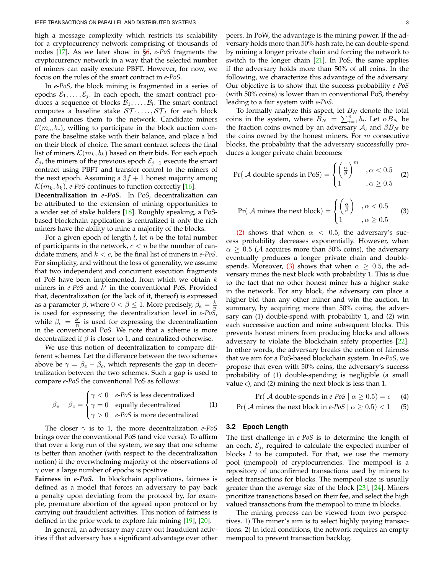high a message complexity which restricts its scalability for a cryptocurrency network comprising of thousands of nodes [\[17\]](#page-12-2). As we later show in [§6,](#page-9-0) *e-PoS* fragments the cryptocurrency network in a way that the selected number of miners can easily execute PBFT. However, for now, we focus on the rules of the smart contract in *e-PoS*.

In *e-PoS*, the block mining is fragmented in a series of epochs  $\mathcal{E}_1, \ldots, \mathcal{E}_j$ . In each epoch, the smart contract produces a sequence of blocks  $B_1, \ldots, B_l$ . The smart contract computes a baseline stake  $ST_1, \ldots, ST_l$  for each block and announces them to the network. Candidate miners  $\mathcal{C}(m_c, b_c)$ , willing to participate in the block auction compare the baseline stake with their balance, and place a bid on their block of choice. The smart contract selects the final list of miners  $\mathcal{K}(m_k, b_k)$  based on their bids. For each epoch  $\mathcal{E}_j$ , the miners of the previous epoch  $\mathcal{E}_{j-1}$  execute the smart contract using PBFT and transfer control to the miners of the next epoch. Assuming a  $3f + 1$  honest majority among  $\mathcal{K}(m_k, b_k)$ , *e-PoS* continues to function correctly [\[16\]](#page-12-1).

**Decentralization in** *e-PoS***.** In PoS, decentralization can be attributed to the extension of mining opportunities to a wider set of stake holders [\[18\]](#page-12-3). Roughly speaking, a PoSbased blockchain application is centralized if only the rich miners have the ability to mine a majority of the blocks.

For a given epoch of length  $l$ , let  $n$  be the total number of participants in the network,  $c < n$  be the number of candidate miners, and k < c, be the final list of miners in *e-PoS*. For simplicity, and without the loss of generality, we assume that two independent and concurrent execution fragments of PoS have been implemented, from which we obtain  $k$ miners in  $e$ -PoS and  $\overline{k}'$  in the conventional PoS. Provided that, decentralization (or the lack of it, thereof) is expressed as a parameter  $\beta$ , where  $0 < \beta \leq 1$ . More precisely,  $\beta_e = \frac{k}{n}$ is used for expressing the decentralization level in *e-PoS*, while  $\beta_c = \frac{k^{\prime}}{n}$  $\frac{k}{n}$  is used for expressing the decentralization in the conventional PoS. We note that a scheme is more decentralized if  $\beta$  is closer to 1, and centralized otherwise.

We use this notion of decentralization to compare different schemes. Let the difference between the two schemes above be  $\gamma = \beta_e - \beta_c$ , which represents the gap in decentralization between the two schemes. Such a gap is used to compare *e-PoS* the conventional PoS as follows:

$$
\beta_e - \beta_c = \begin{cases}\n\gamma < 0 & e\text{-}PoS \text{ is less decentralized} \\
\gamma = 0 & \text{equally decentralized} \\
\gamma > 0 & e\text{-}PoS \text{ is more decentralized}\n\end{cases}\n\tag{1}
$$

The closer  $\gamma$  is to 1, the more decentralization *e-PoS* brings over the conventional PoS (and vice versa). To affirm that over a long run of the system, we say that one scheme is better than another (with respect to the decentralization notion) if the overwhelming majority of the observations of  $\gamma$  over a large number of epochs is positive.

**Fairness in** *e-PoS***.** In blockchain applications, fairness is defined as a model that forces an adversary to pay back a penalty upon deviating from the protocol by, for example, premature abortion of the agreed upon protocol or by carrying out fraudulent activities. This notion of fairness is defined in the prior work to explore fair mining [\[19\]](#page-12-4), [\[20\]](#page-12-5).

In general, an adversary may carry out fraudulent activities if that adversary has a significant advantage over other peers. In PoW, the advantage is the mining power. If the adversary holds more than 50% hash rate, he can double-spend by mining a longer private chain and forcing the network to switch to the longer chain [\[21\]](#page-12-6). In PoS, the same applies if the adversary holds more than 50% of all coins. In the following, we characterize this advantage of the adversary. Our objective is to show that the success probability *e-PoS* (with 50% coins) is lower than in conventional PoS, thereby leading to a fair system with *e-PoS*.

To formally analyze this aspect, let  $B_N$  denote the total coins in the system, where  $B_N = \sum_{i=1}^n b_i$ . Let  $\alpha B_N$  be the fraction coins owned by an adversary A, and  $\beta B_N$  be the coins owned by the honest miners. For  $m$  consecutive blocks, the probability that the adversary successfully produces a longer private chain becomes:

<span id="page-2-0"></span>
$$
Pr(\mathcal{A} \text{ double-spends in PoS}) = \begin{cases} \left(\frac{\alpha}{\beta}\right)^m & , \alpha < 0.5\\ 1 & , \alpha \ge 0.5 \end{cases} \quad (2)
$$

<span id="page-2-1"></span>
$$
\Pr(\mathcal{A} \text{ mines the next block}) = \begin{cases} \left(\frac{\alpha}{\beta}\right) & \text{, } \alpha < 0.5\\ 1 & \text{, } \alpha \ge 0.5 \end{cases} \tag{3}
$$

[\(2\)](#page-2-0) shows that when  $\alpha$  < 0.5, the adversary's success probability decreases exponentially. However, when  $\alpha \geq 0.5$  (A acquires more than 50% coins), the adversary eventually produces a longer private chain and double-spends. Moreover, [\(3\)](#page-2-1) shows that when  $\alpha > 0.5$ , the adversary mines the next block with probability 1. This is due to the fact that no other honest miner has a higher stake in the network. For any block, the adversary can place a higher bid than any other miner and win the auction. In summary, by acquiring more than 50% coins, the adversary can (1) double-spend with probability 1, and (2) win each successive auction and mine subsequent blocks. This prevents honest miners from producing blocks and allows adversary to violate the blockchain safety properties [\[22\]](#page-12-7). In other words, the adversary breaks the notion of fairness that we aim for a PoS-based blockchain system. In *e-PoS*, we propose that even with 50% coins, the adversary's success probability of (1) double-spending is negligible (a small value  $\epsilon$ ), and (2) mining the next block is less than 1.

<span id="page-2-3"></span>Pr( A double-spends in *e-PoS*  $\alpha \ge 0.5$ ) =  $\epsilon$  (4)

<span id="page-2-2"></span>Pr( A mines the next block in *e-PoS*  $\alpha \ge 0.5$ ) < 1 (5)

#### **3.2 Epoch Length**

The first challenge in *e-PoS* is to determine the length of an eoch,  $\mathcal{E}_i$ , required to calculate the expected number of blocks  $l$  to be computed. For that, we use the memory pool (mempool) of cryptocurrencies. The mempool is a repository of unconfirmed transactions used by miners to select transactions for blocks. The mempool size is usually greater than the average size of the block [\[23\]](#page-12-8), [\[24\]](#page-12-9). Miners prioritize transactions based on their fee, and select the high valued transactions from the mempool to mine in blocks.

The mining process can be viewed from two perspectives. 1) The miner's aim is to select highly paying transactions. 2) In ideal conditions, the network requires an empty mempool to prevent transaction backlog.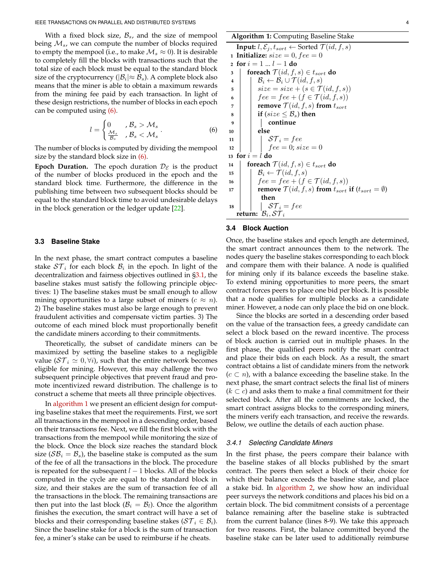With a fixed block size,  $\mathcal{B}_s$ , and the size of mempool being  $\mathcal{M}_{s}$ , we can compute the number of blocks required to empty the mempool (i.e., to make  $\mathcal{M}_s \approx 0$ ). It is desirable to completely fill the blocks with transactions such that the total size of each block must be equal to the standard block size of the cryptocurrency ( $|\mathcal{B}_i| \approx \mathcal{B}_s$ ). A complete block also means that the miner is able to obtain a maximum rewards from the mining fee paid by each transaction. In light of these design restrictions, the number of blocks in each epoch can be computed using [\(6\).](#page-3-0)

$$
l = \begin{cases} 0 & \text{if } \mathcal{B}_s > \mathcal{M}_s \\ \frac{\mathcal{M}_s}{\mathcal{B}_s} & \text{if } \mathcal{B}_s < \mathcal{M}_s \end{cases} \tag{6}
$$

The number of blocks is computed by dividing the mempool size by the standard block size in [\(6\).](#page-3-0)

**Epoch Duration.** The epoch duration  $\mathcal{D}_{\varepsilon}$  is the product of the number of blocks produced in the epoch and the standard block time. Furthermore, the difference in the publishing time between two subsequent blocks should be equal to the standard block time to avoid undesirable delays in the block generation or the ledger update [\[22\]](#page-12-7).

# <span id="page-3-2"></span>**3.3 Baseline Stake**

In the next phase, the smart contract computes a baseline stake  $ST_i$  for each block  $B_i$  in the epoch. In light of the decentralization and fairness objectives outlined in [§3.1,](#page-2-2) the baseline stakes must satisfy the following principle objectives: 1) The baseline stakes must be small enough to allow mining opportunities to a large subset of miners  $(c \approx n)$ . 2) The baseline stakes must also be large enough to prevent fraudulent activities and compensate victim parties. 3) The outcome of each mined block must proportionally benefit the candidate miners according to their commitments.

Theoretically, the subset of candidate miners can be maximized by setting the baseline stakes to a negligible value ( $ST_i \simeq 0, \forall i$ ), such that the entire network becomes eligible for mining. However, this may challenge the two subsequent principle objectives that prevent fraud and promote incentivized reward distribution. The challenge is to construct a scheme that meets all three principle objectives.

In [algorithm 1](#page-3-1) we present an efficient design for computing baseline stakes that meet the requirements. First, we sort all transactions in the mempool in a descending order, based on their transactions fee. Next, we fill the first block with the transactions from the mempool while monitoring the size of the block. Once the block size reaches the standard block size ( $\mathcal{SB}_i = \mathcal{B}_s$ ), the baseline stake is computed as the sum of the fee of all the transactions in the block. The procedure is repeated for the subsequent  $l - 1$  blocks. All of the blocks computed in the cycle are equal to the standard block in size, and their stakes are the sum of transaction fee of all the transactions in the block. The remaining transactions are then put into the last block ( $\mathcal{B}_i = \mathcal{B}_i$ ). Once the algorithm finishes the execution, the smart contract will have a set of blocks and their corresponding baseline stakes ( $S\mathcal{T}_i \in \mathcal{B}_i$ ). Since the baseline stake for a block is the sum of transaction fee, a miner's stake can be used to reimburse if he cheats.

| <b>Algorithm 1: Computing Baseline Stake</b> |  |
|----------------------------------------------|--|
|----------------------------------------------|--|

```
Input: l, \mathcal{E}_j, t_{sort} \leftarrow Sorted \mathcal{T}(id, f, s)1 Initialize: size = 0, fee = 02 for i = 1 ... l - 1 do<br>3 foreach \mathcal{T}(id, f, f)foreach \mathcal{T}(id, f, s) \in t_{sort} do
  \begin{array}{c|c} \n\mathbf{4} & B_i \leftarrow \mathcal{B}_i \cup \mathcal{T}(id, f, s) \\
\hline\n\text{size} = size + (s \in \mathcal{T})\n\end{array}5<br>
6 \begin{cases}\n \text{size} = \text{size} + (s \in \mathcal{T}(id, f, s)) \\
 \text{free} = \text{fee} + (f \in \mathcal{T}(id, f, s))\n \end{cases}6 \left\{\n \begin{array}{c}\n \text{free} = \text{free} + (f \in \mathcal{T}(id, f, s)) \\
 \text{remove } \mathcal{T}(id, f, s) \text{ from } t_{sort}\n \end{array}\n\right.7 remove \mathcal{T}(id, f, s) from t_{sort}<br>8 if (size < \mathcal{B}_s) then
  8 if (size \leq B<sub>s</sub>) then
                                  9 continue
10 else
\begin{array}{c|c} \n\text{11} & \text{12} \\
\text{12} & \text{13}\n\end{array} \begin{array}{c} \n\text{ST}_i = fee \\
\text{free} = 0; si.\n\end{array}fee = 0; size = 013 for i = l do
14 foreach \mathcal{T}(id, f, s) \in t_{sort} do<br>
15 f \mathcal{B}_i \leftarrow \mathcal{T}(id, f, s)\mathcal{B}_i \leftarrow \mathcal{T}(id, f, s)16 \left\{\n \begin{array}{c}\n \text{free} = \text{fee} + (f \in \mathcal{T}(id, f, s)) \\
 \text{remove } \mathcal{T}(id, f, s) \text{ from } t_{sort}\n \end{array}\n\right\}17 remove \mathcal{T}(id, f, s) from t_{sort} if (t_{sort} = \emptyset)then
18 | | \mathcal{ST}_i = feereturn: \mathcal{B}_i, S\mathcal{T}_i
```
# <span id="page-3-1"></span>**3.4 Block Auction**

Once, the baseline stakes and epoch length are determined, the smart contract announces them to the network. The nodes query the baseline stakes corresponding to each block and compare them with their balance. A node is qualified for mining only if its balance exceeds the baseline stake. To extend mining opportunities to more peers, the smart contract forces peers to place one bid per block. It is possible that a node qualifies for multiple blocks as a candidate miner. However, a node can only place the bid on one block.

Since the blocks are sorted in a descending order based on the value of the transaction fees, a greedy candidate can select a block based on the reward incentive. The process of block auction is carried out in multiple phases. In the first phase, the qualified peers notify the smart contract and place their bids on each block. As a result, the smart contract obtains a list of candidate miners from the network  $(c \subset n)$ , with a balance exceeding the baseline stake. In the next phase, the smart contract selects the final list of miners  $(k \subset c)$  and asks them to make a final commitment for their selected block. After all the commitments are locked, the smart contract assigns blocks to the corresponding miners, the miners verify each transaction, and receive the rewards. Below, we outline the details of each auction phase.

#### *3.4.1 Selecting Candidate Miners*

In the first phase, the peers compare their balance with the baseline stakes of all blocks published by the smart contract. The peers then select a block of their choice for which their balance exceeds the baseline stake, and place a stake bid. In [algorithm 2,](#page-4-0) we show how an individual peer surveys the network conditions and places his bid on a certain block. The bid commitment consists of a percentage balance remaining after the baseline stake is subtracted from the current balance (lines 8-9). We take this approach for two reasons. First, the balance committed beyond the baseline stake can be later used to additionally reimburse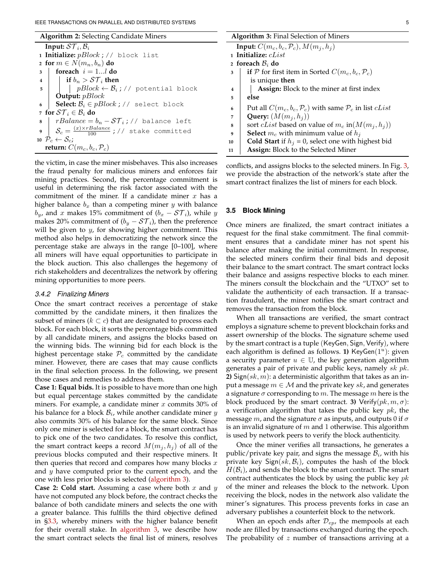**Algorithm 2:** Selecting Candidate Miners

|   | Input: $ST_i, B_i$                                                  |
|---|---------------------------------------------------------------------|
|   | 1 Initialize: $pBlock$ ; // block list                              |
|   | 2 for $m \in N(m_n, b_n)$ do                                        |
| 3 | foreach $i = 1l$ do                                                 |
|   | 4     if $b_n > \mathcal{ST}_i$ then                                |
|   | 5     $pBlock \leftarrow \mathcal{B}_i$ ; // potential block        |
|   | <b>Output:</b> $pBlock$                                             |
| 6 | Select: $B_i \in pBlock$ ; // select block                          |
|   | 7 for $ST_i \in \mathcal{B}_i$ do                                   |
|   | 8   $rBalance = b_n - ST_i$ ; // balance left                       |
|   | $\int$ $S_c = \frac{(x) \times rBalance}{100}$ ; // stake committed |
|   | 10 $\mathcal{P}_c \leftarrow \mathcal{S}_c$ ;                       |
|   | return: $C(m_c, b_c, \mathcal{P}_c)$                                |

<span id="page-4-0"></span>the victim, in case the miner misbehaves. This also increases the fraud penalty for malicious miners and enforces fair mining practices. Second, the percentage commitment is useful in determining the risk factor associated with the commitment of the miner. If a candidate miner  $x$  has a higher balance  $b_x$  than a competing miner y with balance  $b_y$ , and x makes 15% commitment of  $(b_x - S\mathcal{T}_i)$ , while y makes 20% commitment of  $(b_y - \mathcal{ST}_i)$ , then the preference will be given to  $y$ , for showing higher commitment. This method also helps in democratizing the network since the percentage stake are always in the range [0–100], where all miners will have equal opportunities to participate in the block auction. This also challenges the hegemony of rich stakeholders and decentralizes the network by offering mining opportunities to more peers.

#### *3.4.2 Finalizing Miners*

Once the smart contract receives a percentage of stake committed by the candidate miners, it then finalizes the subset of miners ( $k \subset c$ ) that are designated to process each block. For each block, it sorts the percentage bids committed by all candidate miners, and assigns the blocks based on the winning bids. The winning bid for each block is the highest percentage stake  $P_c$  committed by the candidate miner. However, there are cases that may cause conflicts in the final selection process. In the following, we present those cases and remedies to address them.

**Case 1: Equal bids.** It is possible to have more than one high but equal percentage stakes committed by the candidate miners. For example, a candidate miner  $x$  commits 30% of his balance for a block  $B_i$ , while another candidate miner y also commits 30% of his balance for the same block. Since only one miner is selected for a block, the smart contract has to pick one of the two candidates. To resolve this conflict, the smart contract keeps a record  $M(m_i, h_i)$  of all of the previous blocks computed and their respective miners. It then queries that record and compares how many blocks  $x$ and  $y$  have computed prior to the current epoch, and the one with less prior blocks is selected [\(algorithm 3\)](#page-4-1).

**Case 2: Cold start.** Assuming a case where both x and y have not computed any block before, the contract checks the balance of both candidate miners and selects the one with a greater balance. This fulfills the third objective defined in [§3.3,](#page-3-2) whereby miners with the higher balance benefit for their overall stake. In [algorithm 3,](#page-4-1) we describe how the smart contract selects the final list of miners, resolves

|  |  | ۰ |
|--|--|---|
|  |  |   |

| <b>Algorithm 3: Final Selection of Miners</b>       |                                                                                     |  |  |
|-----------------------------------------------------|-------------------------------------------------------------------------------------|--|--|
| Input: $C(m_c, b_c, \mathcal{P}_c)$ , $M(m_i, h_i)$ |                                                                                     |  |  |
| 1 Initialize: $cList$                               |                                                                                     |  |  |
| 2 foreach $B_i$ do                                  |                                                                                     |  |  |
| 3                                                   | if P for first item in Sorted $C(m_c, b_c, \mathcal{P}_c)$                          |  |  |
|                                                     | is unique then                                                                      |  |  |
| $\overline{\mathbf{4}}$                             | <b>Assign:</b> Block to the miner at first index                                    |  |  |
| 5                                                   | else                                                                                |  |  |
| 6                                                   | Put all $C(m_c, b_c, \mathcal{P}_c)$ with same $\mathcal{P}_c$ in list <i>cList</i> |  |  |
| 7                                                   | Query: $(M(m_i, h_i))$                                                              |  |  |
| 8                                                   | sort <i>cList</i> based on value of $m_c$ in( $M(m_i, h_i)$ )                       |  |  |
| 9                                                   | <b>Select</b> $m_c$ with minimum value of $h_i$                                     |  |  |
| 10                                                  | <b>Cold Start</b> if $hj = 0$ , select one with highest bid                         |  |  |
| 11                                                  | <b>Assign:</b> Block to the Selected Miner                                          |  |  |

<span id="page-4-1"></span>conflicts, and assigns blocks to the selected miners. In Fig. [3,](#page-5-0) we provide the abstraction of the network's state after the smart contract finalizes the list of miners for each block.

#### <span id="page-4-2"></span>**3.5 Block Mining**

Once miners are finalized, the smart contract initiates a request for the final stake commitment. The final commitment ensures that a candidate miner has not spent his balance after making the initial commitment. In response, the selected miners confirm their final bids and deposit their balance to the smart contract. The smart contract locks their balance and assigns respective blocks to each miner. The miners consult the blockchain and the "UTXO" set to validate the authenticity of each transaction. If a transaction fraudulent, the miner notifies the smart contract and removes the transaction from the block.

When all transactions are verified, the smart contract employs a signature scheme to prevent blockchain forks and assert ownership of the blocks. The signature scheme used by the smart contract is a tuple (KeyGen, Sign, Verify), where each algorithm is defined as follows. **1)**  $KeyGen(1<sup>u</sup>)$ : given a security parameter  $u \in \mathbb{U}$ , the key generation algorithm generates a pair of private and public keys, namely  $sk p k$ . **2)** Sign(sk, m): a deterministic algorithm that takes as an input a message  $m \in \mathcal{M}$  and the private key sk, and generates a signature  $\sigma$  corresponding to m. The message m here is the block produced by the smart contract. **3)** Verify $(pk, m, \sigma)$ : a verification algorithm that takes the public key  $pk$ , the message  $m$ , and the signature  $\sigma$  as inputs, and outputs 0 if  $\sigma$ is an invalid signature of  $m$  and 1 otherwise. This algorithm is used by network peers to verify the block authenticity.

Once the miner verifies all transactions, he generates a public/private key pair, and signs the message  $B_i$ , with his private key Sign(sk,  $B_i$ ), computes the hash of the block  $H(\mathcal{B}_i)$ , and sends the block to the smart contract. The smart contract authenticates the block by using the public key  $pk$ of the miner and releases the block to the network. Upon receiving the block, nodes in the network also validate the miner's signatures. This process prevents forks in case an adversary publishes a counterfeit block to the network.

When an epoch ends after  $\mathcal{D}_{ep}$ , the mempools at each node are filled by transactions exchanged during the epoch. The probability of z number of transactions arriving at a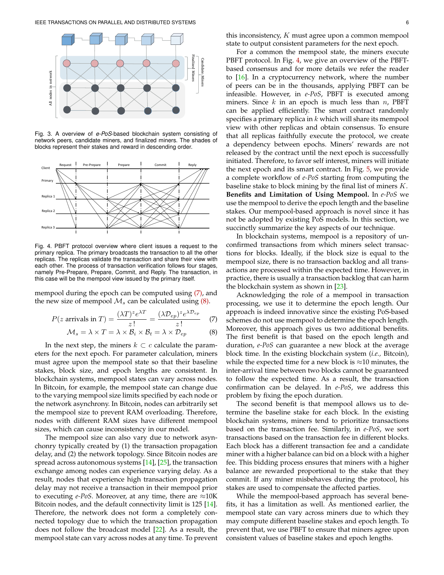

Fig. 3. A overview of *e-PoS*-based blockchain system consisting of network peers, candidate miners, and finalized miners. The shades of blocks represent their stakes and reward in descending order.



Fig. 4. PBFT protocol overview where client issues a request to the primary replica. The primary broadcasts the transaction to all the other replicas. The replicas validate the transaction and share their view with each other. The process of transaction verification follows four stages, namely Pre-Prepare, Prepare, Commit, and Reply. The transaction, in this case will be the mempool view issued by the primary itself.

mempool during the epoch can be computed using [\(7\),](#page-5-1) and the new size of mempool  $\mathcal{M}_s$  can be calculated using [\(8\).](#page-5-2)

$$
P(z \text{ arrivals in } T) = \frac{(\lambda T)^{z} e^{\lambda T}}{z!} = \frac{(\lambda \mathcal{D}_{ep})^{z} e^{\lambda \mathcal{D}_{ep}}}{z!} \quad (7)
$$

$$
\mathcal{M}_s = \lambda \times T = \lambda \times \mathcal{B}_i \times \mathcal{B}_t = \lambda \times \mathcal{D}_{ep} \tag{8}
$$

In the next step, the miners  $k \subset c$  calculate the parameters for the next epoch. For parameter calculation, miners must agree upon the mempool state so that their baseline stakes, block size, and epoch lengths are consistent. In blockchain systems, mempool states can vary across nodes. In Bitcoin, for example, the mempool state can change due to the varying mempool size limits specified by each node or the network asynchrony. In Bitcoin, nodes can arbitrarily set the mempool size to prevent RAM overloading. Therefore, nodes with different RAM sizes have different mempool sizes, which can cause inconsistency in our model.

The mempool size can also vary due to network asynchonry typically created by (1) the transaction propagation delay, and (2) the network topology. Since Bitcoin nodes are spread across autonomous systems [\[14\]](#page-11-14), [\[25\]](#page-12-10), the transaction exchange among nodes can experience varying delay. As a result, nodes that experience high transaction propagation delay may not receive a transaction in their mempool prior to executing *e-PoS*. Moreover, at any time, there are  $\approx 10$ K Bitcoin nodes, and the default connectivity limit is 125 [\[14\]](#page-11-14). Therefore, the network does not form a completely connected topology due to which the transaction propagation does not follow the broadcast model [\[22\]](#page-12-7). As a result, the mempool state can vary across nodes at any time. To prevent

this inconsistency,  $K$  must agree upon a common mempool state to output consistent parameters for the next epoch.

<span id="page-5-0"></span> $\frac{1}{2}$  PBFT protocol. In Fig. [4,](#page-5-3) we give an overview of the PBFT- $\frac{a}{z}$   $\frac{a}{z}$  based consensus and for more details we refer the reader  $\frac{3}{8}$  to [\[16\]](#page-12-1). In a cryptocurrency network, where the number s de la construction de la construction de la construction de la construction de la construction de la constru <sup>3</sup> of peers can be in the thousands, applying PBFT can be For a common the mempool state, the miners execute infeasible. However, in *e-PoS*, PBFT is executed among miners. Since  $k$  in an epoch is much less than  $n$ , PBFT can be applied efficiently. The smart contract randomly specifies a primary replica in  $k$  which will share its mempool view with other replicas and obtain consensus. To ensure that all replicas faithfully execute the protocol, we create a dependency between epochs. Miners' rewards are not released by the contract until the next epoch is successfully initiated. Therefore, to favor self interest, miners will initiate the next epoch and its smart contract. In Fig. [5,](#page-6-0) we provide a complete workflow of *e-PoS* starting from computing the baseline stake to block mining by the final list of miners  $K$ . **Benefits and Limitation of Using Mempool.** In *e-PoS* we use the mempool to derive the epoch length and the baseline stakes. Our mempool-based approach is novel since it has not be adopted by existing PoS models. In this section, we succinctly summarize the key aspects of our technique.

> <span id="page-5-3"></span>In blockchain systems, mempool is a repository of unconfirmed transactions from which miners select transactions for blocks. Ideally, if the block size is equal to the mempool size, there is no transaction backlog and all transactions are processed within the expected time. However, in practice, there is usually a transaction backlog that can harm the blockchain system as shown in [\[23\]](#page-12-8).

> <span id="page-5-2"></span><span id="page-5-1"></span>Acknowledging the role of a mempool in transaction processing, we use it to determine the epoch length. Our approach is indeed innovative since the existing PoS-based schemes do not use mempool to determine the epoch length. Moreover, this approach gives us two additional benefits. The first benefit is that based on the epoch length and duration, *e-PoS* can guarantee a new block at the average block time. In the existing blockchain system (*i.e.,* Bitcoin), while the expected time for a new block is  $\approx$ 10 minutes, the inter-arrival time between two blocks cannot be guaranteed to follow the expected time. As a result, the transaction confirmation can be delayed. In *e-PoS*, we address this problem by fixing the epoch duration.

> The second benefit is that mempool allows us to determine the baseline stake for each block. In the existing blockchain systems, miners tend to prioritize transactions based on the transaction fee. Similarly, in *e-PoS*, we sort transactions based on the transaction fee in different blocks. Each block has a different transaction fee and a candidate miner with a higher balance can bid on a block with a higher fee. This bidding process ensures that miners with a higher balance are rewarded proportional to the stake that they commit. If any miner misbehaves during the protocol, his stakes are used to compensate the affected parties.

> While the mempool-based approach has several benefits, it has a limitation as well. As mentioned earlier, the mempool state can vary across miners due to which they may compute different baseline stakes and epoch length. To prevent that, we use PBFT to ensure that miners agree upon consistent values of baseline stakes and epoch lengths.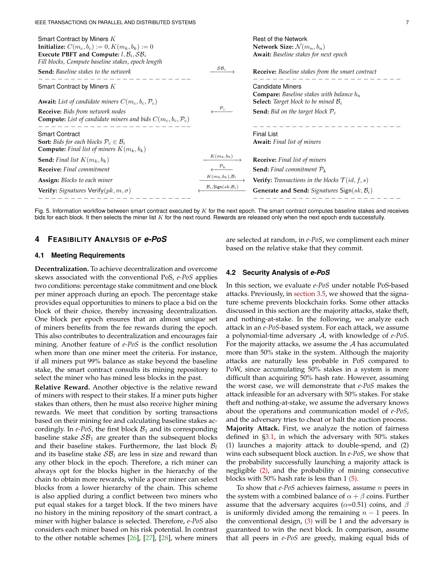| Smart Contract by Miners K<br><b>Initialize:</b> $C(m_c, b_c) := 0, K(m_k, b_k) := 0$<br>Execute PBFT and Compute: $l, B_i, SB_i$<br>Fill blocks, Compute baseline stakes, epoch length          |                                                        | Rest of the Network<br>Network Size: $\mathcal{N}(m_n, b_n)$<br><b>Await:</b> Baseline stakes for next epoch        |
|--------------------------------------------------------------------------------------------------------------------------------------------------------------------------------------------------|--------------------------------------------------------|---------------------------------------------------------------------------------------------------------------------|
| <b>Send:</b> Baseline stakes to the network                                                                                                                                                      | $\mathcal{SB}_i$                                       | <b>Receive:</b> Baseline stakes from the smart contract                                                             |
| Smart Contract by Miners K                                                                                                                                                                       |                                                        | <b>Candidate Miners</b><br><b>Compare:</b> Baseline stakes with balance $b_n$                                       |
| <b>Await:</b> List of candidate miners $C(m_c, b_c, \mathcal{P}_c)$<br><b>Receive:</b> Bids from network nodes<br><b>Compute:</b> List of candidate miners and bids $C(m_c, b_c, \mathcal{P}_c)$ | $\mathcal{P}_c$                                        | <b>Select:</b> Target block to be mined $B_i$<br><b>Send:</b> Bid on the target block $P_c$                         |
| <b>Smart Contract</b><br><b>Sort:</b> Bids for each blocks $P_c \in \mathcal{B}_i$<br><b>Compute:</b> Final list of miners $K(m_k, b_k)$                                                         |                                                        | <b>Final List</b><br><b>Await:</b> Final list of miners                                                             |
| <b>Send:</b> Final list $K(m_k, b_k)$<br><b>Receive:</b> Final commitment                                                                                                                        | $K(m_k,b_k)$                                           | <b>Receive:</b> Final list of miners<br><b>Send:</b> Final commitment $P_k$                                         |
| Assign: Blocks to each miner<br><b>Verify:</b> Signatures Verify $(pk, m, \sigma)$                                                                                                               | $K(m_k,b_k),\mathcal{B}_i$<br>$B_i$ , Sign $(sk, B_i)$ | <b>Verify:</b> Transactions in the blocks $\mathcal{T}(id, f, s)$<br>Generate and Send: Signatures Sign $(sk, B_i)$ |

<span id="page-6-0"></span>Fig. 5. Information workflow between smart contract executed by  $K$  for the next epoch. The smart contract computes baseline stakes and receives bids for each block. It then selects the miner list K for the next round. Rewards are released only when the next epoch ends successfully.

# **4 FEASIBILITY ANALYSIS OF** *e-PoS*

are selected at random, in *e-PoS*, we compliment each miner based on the relative stake that they commit.

# **4.1 Meeting Requirements**

**Decentralization.** To achieve decentralization and overcome skews associated with the conventional PoS, *e-PoS* applies two conditions: percentage stake commitment and one block per miner approach during an epoch. The percentage stake provides equal opportunities to miners to place a bid on the block of their choice, thereby increasing decentralization. One block per epoch ensures that an almost unique set of miners benefits from the fee rewards during the epoch. This also contributes to decentralization and encourages fair mining. Another feature of *e-PoS* is the conflict resolution when more than one miner meet the criteria. For instance, if all miners put 99% balance as stake beyond the baseline stake, the smart contract consults its mining repository to select the miner who has mined less blocks in the past.

**Relative Reward.** Another objective is the relative reward of miners with respect to their stakes. If a miner puts higher stakes than others, then he must also receive higher mining rewards. We meet that condition by sorting transactions based on their mining fee and calculating baseline stakes accordingly. In  $e$ -PoS, the first block  $B_1$  and its corresponding baseline stake  $S\mathcal{B}_1$  are greater than the subsequent blocks and their baseline stakes. Furthermore, the last block  $B_l$ and its baseline stake  $\mathcal{SB}_l$  are less in size and reward than any other block in the epoch. Therefore, a rich miner can always opt for the blocks higher in the hierarchy of the chain to obtain more rewards, while a poor miner can select blocks from a lower hierarchy of the chain. This scheme is also applied during a conflict between two miners who put equal stakes for a target block. If the two miners have no history in the mining repository of the smart contract, a miner with higher balance is selected. Therefore, *e-PoS* also considers each miner based on his risk potential. In contrast to the other notable schemes [\[26\]](#page-12-11), [\[27\]](#page-12-12), [\[28\]](#page-12-13), where miners

#### **4.2 Security Analysis of** *e-PoS*

In this section, we evaluate *e-PoS* under notable PoS-based attacks. Previously, in [section 3.5,](#page-4-2) we showed that the signature scheme prevents blockchain forks. Some other attacks discussed in this section are the majority attacks, stake theft, and nothing-at-stake. In the following, we analyze each attack in an *e-PoS*-based system. For each attack, we assume a polynomial-time adversary A, with knowledge of *e-PoS*. For the majority attacks, we assume the  $A$  has accumulated more than 50% stake in the system. Although the majority attacks are naturally less probable in PoS compared to PoW, since accumulating 50% stakes in a system is more difficult than acquiring 50% hash rate. However, assuming the worst case, we will demonstrate that *e-PoS* makes the attack infeasible for an adversary with 50% stakes. For stake theft and nothing-at-stake, we assume the adversary knows about the operations and communication model of *e-PoS*, and the adversary tries to cheat or halt the auction process. **Majority Attack.** First, we analyze the notion of fairness defined in [§3.1,](#page-2-2) in which the adversary with 50% stakes (1) launches a majority attack to double-spend, and (2) wins each subsequent block auction. In *e-PoS*, we show that the probability successfully launching a majority attack is negligible [\(2\),](#page-2-0) and the probability of mining consecutive blocks with 50% hash rate is less than 1 [\(5\).](#page-2-3)

To show that *e-PoS* achieves fairness, assume n peers in the system with a combined balance of  $\alpha + \beta$  coins. Further assume that the adversary acquires ( $\alpha$ =0.51) coins, and  $\beta$ is uniformly divided among the remaining  $n - 1$  peers. In the conventional design, [\(3\)](#page-2-1) will be 1 and the adversary is guaranteed to win the next block. In comparison, assume that all peers in *e-PoS* are greedy, making equal bids of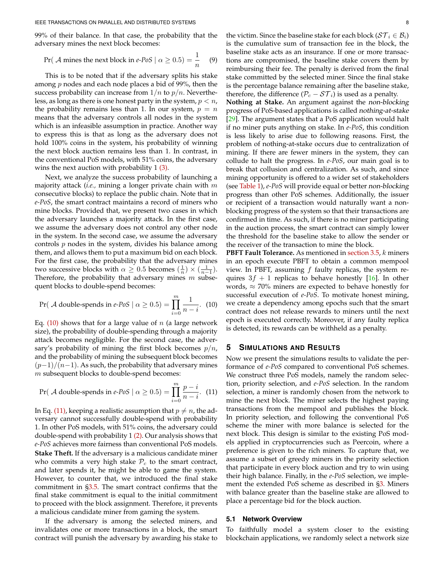99% of their balance. In that case, the probability that the adversary mines the next block becomes:

Pr(*A* mines the next block in *e-Pos* | 
$$
\alpha \ge 0.5
$$
) =  $\frac{1}{n}$  (9)

This is to be noted that if the adversary splits his stake among  $p$  nodes and each node places a bid of 99%, then the success probability can increase from  $1/n$  to  $p/n$ . Nevertheless, as long as there is one honest party in the system,  $p < n$ , the probability remains less than 1. In our system,  $p = n$ means that the adversary controls all nodes in the system which is an infeasible assumption in practice. Another way to express this is that as long as the adversary does not hold 100% coins in the system, his probability of winning the next block auction remains less than 1. In contrast, in the conventional PoS models, with 51% coins, the adversary wins the next auction with probability 1 [\(3\).](#page-2-1)

Next, we analyze the success probability of launching a majority attack (*i.e.,* mining a longer private chain with m consecutive blocks) to replace the public chain. Note that in *e-PoS*, the smart contract maintains a record of miners who mine blocks. Provided that, we present two cases in which the adversary launches a majority attack. In the first case, we assume the adversary does not control any other node in the system. In the second case, we assume the adversary controls  $p$  nodes in the system, divides his balance among them, and allows them to put a maximum bid on each block. For the first case, the probability that the adversary mines two successive blocks with  $\alpha \geq 0.5$  becomes  $(\frac{1}{n}) \times (\frac{1}{n-1})$ . Therefore, the probability that adversary mines  $m$  subsequent blocks to double-spend becomes:

$$
Pr(\mathcal{A} \text{ double-spends in } e\text{-}PoS \mid \alpha \ge 0.5) = \prod_{i=0}^{m} \frac{1}{n-i}.
$$
 (10)

Eq. [\(10\)](#page-7-1) shows that for a large value of  $n$  (a large network size), the probability of double-spending through a majority attack becomes negligible. For the second case, the adversary's probability of mining the first block becomes  $p/n$ , and the probability of mining the subsequent block becomes  $(p-1)/(n-1)$ . As such, the probability that adversary mines m subsequent blocks to double-spend becomes:

$$
Pr(\mathcal{A} \text{ double-spends in } e\text{-}PoS \mid \alpha \ge 0.5) = \prod_{i=0}^{m} \frac{p-i}{n-i}. (11)
$$

In Eq. [\(11\),](#page-7-2) keeping a realistic assumption that  $p \neq n$ , the adversary cannot successfully double-spend with probability 1. In other PoS models, with 51% coins, the adversary could double-spend with probability 1 [\(2\).](#page-2-0) Our analysis shows that *e-PoS* achieves more fairness than conventional PoS models. **Stake Theft.** If the adversary is a malicious candidate miner who commits a very high stake  $P_c$  to the smart contract, and later spends it, he might be able to game the system. However, to counter that, we introduced the final stake commitment in [§3.5.](#page-4-2) The smart contract confirms that the final stake commitment is equal to the initial commitment to proceed with the block assignment. Therefore, it prevents a malicious candidate miner from gaming the system.

If the adversary is among the selected miners, and invalidates one or more transactions in a block, the smart contract will punish the adversary by awarding his stake to the victim. Since the baseline stake for each block ( $\mathcal{ST}_i \in \mathcal{B}_i$ ) is the cumulative sum of transaction fee in the block, the baseline stake acts as an insurance. If one or more transactions are compromised, the baseline stake covers them by reimbursing their fee. The penalty is derived from the final stake committed by the selected miner. Since the final stake is the percentage balance remaining after the baseline stake, therefore, the difference ( $P_c - ST_i$ ) is used as a penalty.

**Nothing at Stake.** An argument against the non-blocking progress of PoS-based applications is called nothing-at-stake [\[29\]](#page-12-14). The argument states that a PoS application would halt if no miner puts anything on stake. In *e-PoS*, this condition is less likely to arise due to following reasons. First, the problem of nothing-at-stake occurs due to centralization of mining. If there are fewer miners in the system, they can collude to halt the progress. In *e-PoS*, our main goal is to break that collusion and centralization. As such, and since mining opportunity is offered to a wider set of stakeholders (see [Table 1\)](#page-9-1), *e-PoS* will provide equal or better non-blocking progress than other PoS schemes. Additionally, the issuer or recipient of a transaction would naturally want a nonblocking progress of the system so that their transactions are confirmed in time. As such, if there is no miner participating in the auction process, the smart contract can simply lower the threshold for the baseline stake to allow the sender or the receiver of the transaction to mine the block.

<span id="page-7-1"></span>**PBFT Fault Tolerance.** As mentioned in [section 3.5,](#page-4-2) k miners in an epoch execute PBFT to obtain a common mempool view. In PBFT, assuming  $f$  faulty replicas, the system requires  $3f + 1$  replicas to behave honestly [\[16\]](#page-12-1). In other words,  $\approx$  70% miners are expected to behave honestly for successful execution of *e-PoS*. To motivate honest mining, we create a dependency among epochs such that the smart contract does not release rewards to miners until the next epoch is executed correctly. Moreover, if any faulty replica is detected, its rewards can be withheld as a penalty.

# <span id="page-7-0"></span>**5 SIMULATIONS AND RESULTS**

<span id="page-7-2"></span>Now we present the simulations results to validate the performance of *e-PoS* compared to conventional PoS schemes. We construct three PoS models, namely the random selection, priority selection, and *e-PoS* selection. In the random selection, a miner is randomly chosen from the network to mine the next block. The miner selects the highest paying transactions from the mempool and publishes the block. In priority selection, and following the conventional PoS scheme the miner with more balance is selected for the next block. This design is similar to the existing PoS models applied in cryptocurrencies such as Peercoin, where a preference is given to the rich miners. To capture that, we assume a subset of greedy miners in the priority selection that participate in every block auction and try to win using their high balance. Finally, in the *e-PoS* selection, we implement the extended PoS scheme as described in [§3.](#page-1-3) Miners with balance greater than the baseline stake are allowed to place a percentage bid for the block auction.

## **5.1 Network Overview**

To faithfully model a system closer to the existing blockchain applications, we randomly select a network size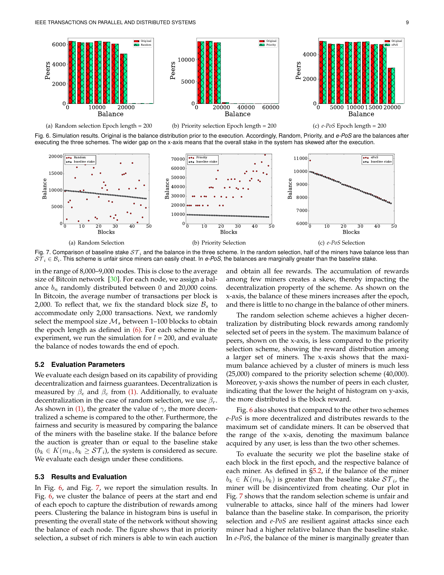

Fig. 6. Simulation results. Original is the balance distribution prior to the execution. Accordingly, Random, Priority, and *e-PoS* are the balances after executing the three schemes. The wider gap on the x-axis means that the overall stake in the system has skewed after the execution.



<span id="page-8-3"></span>Fig. 7. Comparison of baseline stake  $ST_i$  and the balance in the three scheme. In the random selection, half of the miners have balance less than  $S\overline{T}_i \in B_i$ . This scheme is unfair since miners can easily cheat. In *e-PoS*, the balances are marginally greater than the baseline stake.

in the range of 8,000–9,000 nodes. This is close to the average size of Bitcoin network [\[30\]](#page-12-15). For each node, we assign a balance  $b_n$  randomly distributed between 0 and 20,000 coins. In Bitcoin, the average number of transactions per block is 2,000. To reflect that, we fix the standard block size  $\mathcal{B}_s$  to accommodate only 2,000 transactions. Next, we randomly select the mempool size  $M_s$  between 1–100 blocks to obtain the epoch length as defined in  $(6)$ . For each scheme in the experiment, we run the simulation for  $l = 200$ , and evaluate the balance of nodes towards the end of epoch.

### <span id="page-8-2"></span>**5.2 Evaluation Parameters**

We evaluate each design based on its capability of providing decentralization and fairness guarantees. Decentralization is measured by  $\beta_e$  and  $\beta_c$  from [\(1\).](#page-2-2) Additionally, to evaluate decentralization in the case of random selection, we use  $\beta_r$ . As shown in [\(1\),](#page-2-2) the greater the value of  $\gamma$ , the more decentralized a scheme is compared to the other. Furthermore, the fairness and security is measured by comparing the balance of the miners with the baseline stake. If the balance before the auction is greater than or equal to the baseline stake  $(b_k \in K(m_k, b_k \geq \mathcal{ST}_i)$ , the system is considered as secure. We evaluate each design under these conditions.

# **5.3 Results and Evaluation**

In Fig. [6,](#page-8-0) and Fig. [7,](#page-8-1) we report the simulation results. In Fig. [6,](#page-8-0) we cluster the balance of peers at the start and end of each epoch to capture the distribution of rewards among peers. Clustering the balance in histogram bins is useful in presenting the overall state of the network without showing the balance of each node. The figure shows that in priority selection, a subset of rich miners is able to win each auction <span id="page-8-1"></span><span id="page-8-0"></span>and obtain all fee rewards. The accumulation of rewards among few miners creates a skew, thereby impacting the decentralization property of the scheme. As shown on the x-axis, the balance of these miners increases after the epoch, and there is little to no change in the balance of other miners.

The random selection scheme achieves a higher decentralization by distributing block rewards among randomly selected set of peers in the system. The maximum balance of peers, shown on the x-axis, is less compared to the priority selection scheme, showing the reward distribution among a larger set of miners. The x-axis shows that the maximum balance achieved by a cluster of miners is much less (25,000) compared to the priority selection scheme (40,000). Moreover, y-axis shows the number of peers in each cluster, indicating that the lower the height of histogram on y-axis, the more distributed is the block reward.

Fig. [6](#page-8-0) also shows that compared to the other two schemes *e-PoS* is more decentralized and distributes rewards to the maximum set of candidate miners. It can be observed that the range of the x-axis, denoting the maximum balance acquired by any user, is less than the two other schemes.

To evaluate the security we plot the baseline stake of each block in the first epoch, and the respective balance of each miner. As defined in [§5.2,](#page-8-2) if the balance of the miner  $b_k \in K(m_k, b_k)$  is greater than the baseline stake  $ST_i$ , the miner will be disincentivized from cheating. Our plot in Fig. [7](#page-8-1) shows that the random selection scheme is unfair and vulnerable to attacks, since half of the miners had lower balance than the baseline stake. In comparison, the priority selection and *e-PoS* are resilient against attacks since each miner had a higher relative balance than the baseline stake. In *e-PoS*, the balance of the miner is marginally greater than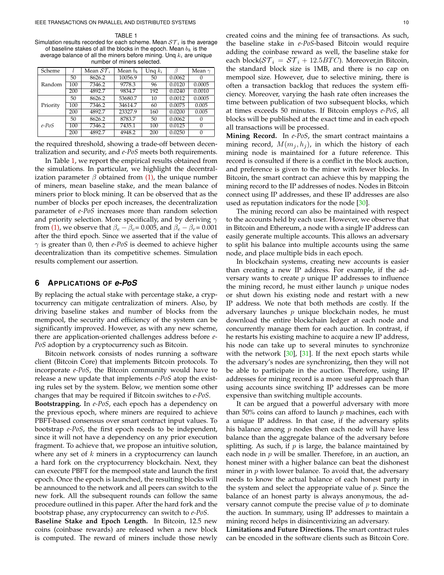<span id="page-9-1"></span>TABLE 1 Simulation results recorded for each scheme. Mean  $ST_i$  is the average of baseline stakes of all the blocks in the epoch. Mean  $b_k$  is the average balance of all the miners before mining. Unq  $k_i$  are unique number of miners selected.

| Scheme   |     | Mean $ST_i$ | Mean $b_k$ | Ung $k_i$ | ß      | Mean $\gamma$ |
|----------|-----|-------------|------------|-----------|--------|---------------|
|          | 50  | 8626.2      | 10056.9    | 50        | 0.0062 |               |
| Random   | 100 | 7346.2      | 9778.3     | 96        | 0.0120 | 0.0005        |
|          | 200 | 4892.7      | 9834.7     | 192       | 0.0240 | 0.0010        |
|          | 50  | 8626.2      | 53680.7    | 10        | 0.0012 | 0.0005        |
| Priority | 100 | 7346.2      | 34614.7    | 60        | 0.0075 | 0.005         |
|          | 200 | 4892.7      | 23327.9    | 160       | 0.0200 | 0.005         |
| $e$ -PoS | 50  | 8626.2      | 8783.7     | 50        | 0.0062 |               |
|          | 100 | 7346.2      | 7435.1     | 100       | 0.0125 | $\Omega$      |
|          | 200 | 4892.7      | 4948.2     | 200       | 0.0250 |               |

the required threshold, showing a trade-off between decentralization and security, and *e-PoS* meets both requirements.

In Table [1,](#page-9-1) we report the empirical results obtained from the simulations. In particular, we highlight the decentralization parameter  $\beta$  obtained from [\(1\),](#page-2-2) the unique number of miners, mean baseline stake, and the mean balance of miners prior to block mining. It can be observed that as the number of blocks per epoch increases, the decentralization parameter of *e-PoS* increases more than random selection and priority selection. More specifically, and by deriving  $\gamma$ from [\(1\),](#page-2-2) we observe that  $\beta_e - \beta_c = 0.005$ , and  $\beta_e - \beta_r = 0.001$ after the third epoch. Since we asserted that if the value of  $\gamma$  is greater than 0, then *e-PoS* is deemed to achieve higher decentralization than its competitive schemes. Simulation results complement our assertion.

# <span id="page-9-0"></span>**6 APPLICATIONS OF** *e-PoS*

By replacing the actual stake with percentage stake, a cryptocurrency can mitigate centralization of miners. Also, by driving baseline stakes and number of blocks from the mempool, the security and efficiency of the system can be significantly improved. However, as with any new scheme, there are application-oriented challenges address before *e-PoS* adoption by a cryptocurrency such as Bitcoin.

Bitcoin network consists of nodes running a software client (Bitcoin Core) that implements Bitcoin protocols. To incorporate *e-PoS*, the Bitcoin community would have to release a new update that implements *e-PoS* atop the existing rules set by the system. Below, we mention some other changes that may be required if Bitcoin switches to *e-PoS*.

**Bootstrapping.** In *e-PoS*, each epoch has a dependency on the previous epoch, where miners are required to achieve PBFT-based consensus over smart contract input values. To bootstrap *e-PoS*, the first epoch needs to be independent, since it will not have a dependency on any prior execution fragment. To achieve that, we propose an intuitive solution, where any set of  $k$  miners in a cryptocurrency can launch a hard fork on the cryptocurrency blockchain. Next, they can execute PBFT for the mempool state and launch the first epoch. Once the epoch is launched, the resulting blocks will be announced to the network and all peers can switch to the new fork. All the subsequent rounds can follow the same procedure outlined in this paper. After the hard fork and the bootstrap phase, any cryptocurrency can switch to *e-PoS*.

**Baseline Stake and Epoch Length.** In Bitcoin, 12.5 new coins (coinbase rewards) are released when a new block is computed. The reward of miners include those newly

created coins and the mining fee of transactions. As such, the baseline stake in *e-PoS*-based Bitcoin would require adding the coinbase reward as well, the baseline stake for each block( $ST_i = ST_i + 12.5 BTC$ ). Moreover, in Bitcoin, the standard block size is 1MB, and there is no cap on mempool size. However, due to selective mining, there is often a transaction backlog that reduces the system efficiency. Moreover, varying the hash rate often increases the time between publication of two subsequent blocks, which at times exceeds 50 minutes. If Bitcoin employs *e-PoS*, all blocks will be published at the exact time and in each epoch all transactions will be processed.

**Mining Record.** In *e-PoS*, the smart contract maintains a mining record,  $M(m_i, h_i)$ , in which the history of each mining node is maintained for a future reference. This record is consulted if there is a conflict in the block auction, and preference is given to the miner with fewer blocks. In Bitcoin, the smart contract can achieve this by mapping the mining record to the IP addresses of nodes. Nodes in Bitcoin connect using IP addresses, and these IP addresses are also used as reputation indicators for the node [\[30\]](#page-12-15).

The mining record can also be maintained with respect to the accounts held by each user. However, we observe that in Bitcoin and Ethereum, a node with a single IP address can easily generate multiple accounts. This allows an adversary to split his balance into multiple accounts using the same node, and place multiple bids in each epoch.

In blockchain systems, creating new accounts is easier than creating a new IP address. For example, if the adversary wants to create  $p$  unique IP addresses to influence the mining record, he must either launch  $p$  unique nodes or shut down his existing node and restart with a new IP address. We note that both methods are costly. If the adversary launches  $p$  unique blockchain nodes, he must download the entire blockchain ledger at each node and concurrently manage them for each auction. In contrast, if he restarts his existing machine to acquire a new IP address, his node can take up to several minutes to synchronize with the network  $[30]$ ,  $[31]$ . If the next epoch starts while the adversary's nodes are synchronizing, then they will not be able to participate in the auction. Therefore, using IP addresses for mining record is a more useful approach than using accounts since switching IP addresses can be more expensive than switching multiple accounts.

It can be argued that a powerful adversary with more than 50% coins can afford to launch  $p$  machines, each with a unique IP address. In that case, if the adversary splits his balance among  $p$  nodes then each node will have less balance than the aggregate balance of the adversary before splitting. As such, if  $p$  is large, the balance maintained by each node in  $p$  will be smaller. Therefore, in an auction, an honest miner with a higher balance can beat the dishonest miner in  $p$  with lower balance. To avoid that, the adversary needs to know the actual balance of each honest party in the system and select the appropriate value of  $p$ . Since the balance of an honest party is always anonymous, the adversary cannot compute the precise value of  $p$  to dominate the auction. In summary, using IP addresses to maintain a mining record helps in disincentivizing an adversary.

**Limitations and Future Directions.** The smart contract rules can be encoded in the software clients such as Bitcoin Core.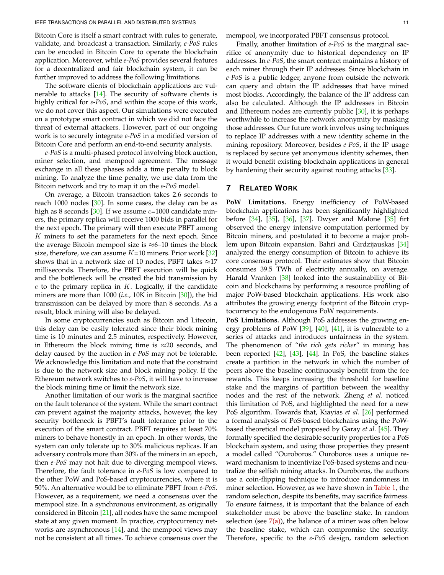Bitcoin Core is itself a smart contract with rules to generate, validate, and broadcast a transaction. Similarly, *e-PoS* rules can be encoded in Bitcoin Core to operate the blockchain application. Moreover, while *e-PoS* provides several features for a decentralized and fair blockchain system, it can be further improved to address the following limitations.

The software clients of blockchain applications are vulnerable to attacks  $[14]$ . The security of software clients is highly critical for *e-PoS*, and within the scope of this work, we do not cover this aspect. Our simulations were executed on a prototype smart contract in which we did not face the threat of external attackers. However, part of our ongoing work is to securely integrate *e-PoS* in a modified version of Bitcoin Core and perform an end-to-end security analysis.

*e-PoS* is a multi-phased protocol involving block auction, miner selection, and mempool agreement. The message exchange in all these phases adds a time penalty to block mining. To analyze the time penalty, we use data from the Bitcoin network and try to map it on the *e-PoS* model.

On average, a Bitcoin transaction takes 2.6 seconds to reach 1000 nodes [\[30\]](#page-12-15). In some cases, the delay can be as high as 8 seconds [ $30$ ]. If we assume  $c=1000$  candidate miners, the primary replica will receive 1000 bids in parallel for the next epoch. The primary will then execute PBFT among  $K$  miners to set the parameters for the next epoch. Since the average Bitcoin mempool size is  $\approx 6$ –10 times the block size, therefore, we can assume  $K=10$  miners. Prior work [\[32\]](#page-12-17) shows that in a network size of 10 nodes, PBFT takes  $\approx$ 17 milliseconds. Therefore, the PBFT execution will be quick and the bottleneck will be created the bid transmission by  $c$  to the primary replica in  $K$ . Logically, if the candidate miners are more than 1000 (*i.e.,* 10K in Bitcoin [\[30\]](#page-12-15)), the bid transmission can be delayed by more than 8 seconds. As a result, block mining will also be delayed.

In some cryptocurrencies such as Bitcoin and Litecoin, this delay can be easily tolerated since their block mining time is 10 minutes and 2.5 minutes, respectively. However, in Ethereum the block mining time is  $\approx$ 20 seconds, and delay caused by the auction in *e-PoS* may not be tolerable. We acknowledge this limitation and note that the constraint is due to the network size and block mining policy. If the Ethereum network switches to *e-PoS*, it will have to increase the block mining time or limit the network size.

Another limitation of our work is the marginal sacrifice on the fault tolerance of the system. While the smart contract can prevent against the majority attacks, however, the key security bottleneck is PBFT's fault tolerance prior to the execution of the smart contract. PBFT requires at least 70% miners to behave honestly in an epoch. In other words, the system can only tolerate up to 30% malicious replicas. If an adversary controls more than 30% of the miners in an epoch, then *e-PoS* may not halt due to diverging mempool views. Therefore, the fault tolerance in *e-PoS* is low compared to the other PoW and PoS-based cryptocurrencies, where it is 50%. An alternative would be to eliminate PBFT from *e-PoS*. However, as a requirement, we need a consensus over the mempool size. In a synchronous environment, as originally considered in Bitcoin [\[21\]](#page-12-6), all nodes have the same mempool state at any given moment. In practice, cryptocurrency networks are asynchronous [\[14\]](#page-11-14), and the mempool views may not be consistent at all times. To achieve consensus over the

mempool, we incorporated PBFT consensus protocol.

Finally, another limitation of *e-PoS* is the marginal sacrifice of anonymity due to historical dependency on IP addresses. In *e-PoS*, the smart contract maintains a history of each miner through their IP addresses. Since blockchain in *e-PoS* is a public ledger, anyone from outside the network can query and obtain the IP addresses that have mined most blocks. Accordingly, the balance of the IP address can also be calculated. Although the IP addresses in Bitcoin and Ethereum nodes are currently public  $[30]$ , it is perhaps worthwhile to increase the network anonymity by masking those addresses. Our future work involves using techniques to replace IP addresses with a new identity scheme in the mining repository. Moreover, besides *e-PoS*, if the IP usage is replaced by secure yet anonymous identity schemes, then it would benefit existing blockchain applications in general by hardening their security against routing attacks [\[33\]](#page-12-18).

# **7 RELATED WORK**

**PoW Limitations.** Energy inefficiency of PoW-based blockchain applications has been significantly highlighted before [\[34\]](#page-12-19), [\[35\]](#page-12-20), [\[36\]](#page-12-21), [\[37\]](#page-12-22). Dwyer and Malone [\[35\]](#page-12-20) firt observed the energy intensive computation performed by Bitcoin miners, and postulated it to become a major problem upon Bitcoin expansion. Bahri and Girdzijauskas [\[34\]](#page-12-19) analyzed the energy consumption of Bitcoin to achieve its core consensus protocol. Their estimates show that Bitcoin consumes 39.5 TWh of electricity annually, on average. Harald Vranken [\[38\]](#page-12-23) looked into the sustainability of Bitcoin and blockchains by performing a resource profiling of major PoW-based blockchain applications. His work also attributes the growing energy footprint of the Bitcoin cryptocurrency to the endogenous PoW requirements.

**PoS Limitations.** Although PoS addresses the growing en-ergy problems of PoW [\[39\]](#page-12-24), [\[40\]](#page-12-25), [\[41\]](#page-12-26), it is vulnerable to a series of attacks and introduces unfairness in the system. The phenomenon of "*the rich gets richer*" in mining has been reported [\[42\]](#page-12-27), [\[43\]](#page-12-28), [\[44\]](#page-12-29). In PoS, the baseline stakes create a partition in the network in which the number of peers above the baseline continuously benefit from the fee rewards. This keeps increasing the threshold for baseline stake and the margins of partition between the wealthy nodes and the rest of the network. Zheng *et al.* noticed this limitation of PoS, and highlighted the need for a new PoS algorithm. Towards that, Kiayias *et al.* [\[26\]](#page-12-11) performed a formal analysis of PoS-based blockchains using the PoWbased theoretical model proposed by Garay *et al.* [\[45\]](#page-12-30). They formally specified the desirable security properties for a PoS blockchain system, and using those properties they present a model called "Ouroboros." Ouroboros uses a unique reward mechanism to incentivize PoS-based systems and neutralize the selfish mining attacks. In Ouroboros, the authors use a coin-flipping technique to introduce randomness in miner selection. However, as we have shown in [Table 1,](#page-9-1) the random selection, despite its benefits, may sacrifice fairness. To ensure fairness, it is important that the balance of each stakeholder must be above the baseline stake. In random selection (see  $7(a)$ ), the balance of a miner was often below the baseline stake, which can compromise the security. Therefore, specific to the *e-PoS* design, random selection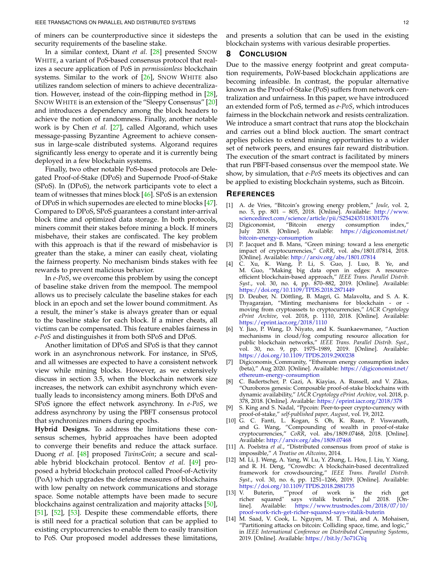of miners can be counterproductive since it sidesteps the security requirements of the baseline stake.

In a similar context, Diant *et al.* [\[28\]](#page-12-13) presented SNOW WHITE, a variant of PoS-based consensus protocol that realizes a secure application of PoS in *permissionless* blockchain systems. Similar to the work of [\[26\]](#page-12-11), SNOW WHITE also utilizes random selection of miners to achieve decentralization. However, instead of the coin-flipping method in [\[28\]](#page-12-13), SNOW WHITE is an extension of the "Sleepy Consensus" [\[20\]](#page-12-5) and introduces a dependency among the block headers to achieve the notion of randomness. Finally, another notable work is by Chen *et al.* [\[27\]](#page-12-12), called Algorand, which uses message-passing Byzantine Agreement to achieve consensus in large-scale distributed systems. Algorand requires significantly less energy to operate and it is currently being deployed in a few blockchain systems.

Finally, two other notable PoS-based protocols are Delegated Proof-of-Stake (DPoS) and Supernode Proof-of-Stake (SPoS). In (DPoS), the network participants vote to elect a team of witnesses that mines block [\[46\]](#page-12-31). SPoS is an extension of DPoS in which supernodes are elected to mine blocks [\[47\]](#page-12-32). Compared to DPoS, SPoS guarantees a constant inter-arrival block time and optimized data storage. In both protocols, miners commit their stakes before mining a block. If miners misbehave, their stakes are confiscated. The key problem with this approach is that if the reward of misbehavior is greater than the stake, a miner can easily cheat, violating the fairness property. No mechanism binds stakes with fee rewards to prevent malicious behavior.

In *e-PoS*, we overcome this problem by using the concept of baseline stake driven from the mempool. The mempool allows us to precisely calculate the baseline stakes for each block in an epoch and set the lower bound commitment. As a result, the miner's stake is always greater than or equal to the baseline stake for each block. If a miner cheats, all victims can be compensated. This feature enables fairness in *e-PoS* and distinguishes it from both SPoS and DPoS.

Another limitation of DPoS and SPoS is that they cannot work in an asynchronous network. For instance, in SPoS, and all witnesses are expected to have a consistent network view while mining blocks. However, as we extensively discuss in section 3.5, when the blockchain network size increases, the network can exhibit asynchrony which eventually leads to inconsistency among miners. Both DPoS and SPoS ignore the effect network asynchrony. In *e-PoS*, we address asynchrony by using the PBFT consensus protocol that synchronizes miners during epochs.

**Hybrid Designs.** To address the limitations these consensus schemes, hybrid approaches have been adopted to converge their benefits and reduce the attack surface. Duong *et al.* [\[48\]](#page-12-33) proposed *TwinsCoin*; a secure and scalable hybrid blockchain protocol. Bentov *et al.* [\[49\]](#page-12-34) proposed a hybrid blockchain protocol called Proof-of-Activity (PoA) which upgrades the defense measures of blockchains with low penalty on network communications and storage space. Some notable attempts have been made to secure blockchains against centralization and majority attacks [\[50\]](#page-12-35), [\[51\]](#page-12-36), [\[52\]](#page-12-37), [\[53\]](#page-12-38). Despite these commendable efforts, there is still need for a practical solution that can be applied to existing cryptocurrencies to enable them to easily transition to PoS. Our proposed model addresses these limitations,

and presents a solution that can be used in the existing blockchain systems with various desirable properties.

# <span id="page-11-6"></span>**8 CONCLUSION**

Due to the massive energy footprint and great computation requirements, PoW-based blockchain applications are becoming infeasible. In contrast, the popular alternative known as the Proof-of-Stake (PoS) suffers from network centralization and unfairness. In this paper, we have introduced an extended form of PoS, termed as *e-PoS*, which introduces fairness in the blockchain network and resists centralization. We introduce a smart contract that runs atop the blockchain and carries out a blind block auction. The smart contract applies policies to extend mining opportunities to a wider set of network peers, and ensures fair reward distribution. The execution of the smart contract is facilitated by miners that run PBFT-based consensus over the mempool state. We show, by simulation, that *e-PoS* meets its objectives and can be applied to existing blockchain systems, such as Bitcoin.

#### **REFERENCES**

- <span id="page-11-0"></span>[1] A. de Vries, "Bitcoin's growing energy problem," *Joule*, vol. 2, no. 5, pp. 801 – 805, 2018. [Online]. Available: [http://www.](http://www.sciencedirect.com/science/article/pii/S2542435118301776) [sciencedirect.com/science/article/pii/S2542435118301776](http://www.sciencedirect.com/science/article/pii/S2542435118301776)<br>Digiconomist, "Bitcoin energy consumption index,"
- <span id="page-11-1"></span>[2] Digiconomist, "Bitcoin energy consumption July 2018. [Online]. Available: [https://digiconomist.net/](https://digiconomist.net/bitcoin-energy-consumption) [bitcoin-energy-consumption](https://digiconomist.net/bitcoin-energy-consumption)
- <span id="page-11-2"></span>[3] P. Jacquet and B. Mans, "Green mining: toward a less energetic impact of cryptocurrencies," *CoRR*, vol. abs/1801.07814, 2018. [Online]. Available: <http://arxiv.org/abs/1801.07814>
- <span id="page-11-3"></span>[4] C. Xu, K. Wang, P. Li, S. Guo, J. Luo, B. Ye, and M. Guo, "Making big data open in edges: A resourceefficient blockchain-based approach," *IEEE Trans. Parallel Distrib. Syst.*, vol. 30, no. 4, pp. 870–882, 2019. [Online]. Available: <https://doi.org/10.1109/TPDS.2018.2871449>
- <span id="page-11-4"></span>[5] D. Deuber, N. Döttling, B. Magri, G. Malavolta, and S. A. K. Thyagarajan, "Minting mechanisms for blockchain - or moving from cryptoassets to cryptocurrencies," *IACR Cryptology ePrint Archive*, vol. 2018, p. 1110, 2018. [Online]. Available: <https://eprint.iacr.org/2018/1110>
- <span id="page-11-5"></span>Y. Jiao, P. Wang, D. Niyato, and K. Suankaewmanee, "Auction mechanisms in cloud/fog computing resource allocation for public blockchain networks," *IEEE Trans. Parallel Distrib. Syst.*, vol. 30, no. 9, pp. 1975–1989, 2019. [Online]. Available: <https://doi.org/10.1109/TPDS.2019.2900238>
- <span id="page-11-7"></span>[7] Digiconomis\_Community, "Ethereum energy consumption index (beta)," Aug 2020. [Online]. Available: [https://digiconomist.net/](https://digiconomist.net/ethereum-energy-consumption) [ethereum-energy-consumption](https://digiconomist.net/ethereum-energy-consumption)
- <span id="page-11-8"></span>[8] C. Badertscher, P. Gazi, A. Kiayias, A. Russell, and V. Zikas, "Ouroboros genesis: Composable proof-of-stake blockchains with dynamic availability," *IACR Cryptology ePrint Archive*, vol. 2018, p. 378, 2018. [Online]. Available: <https://eprint.iacr.org/2018/378>
- <span id="page-11-9"></span>[9] S. King and S. Nadal, "Ppcoin: Peer-to-peer crypto-currency with proof-of-stake," *self-published paper, August*, vol. 19, 2012.
- <span id="page-11-10"></span>[10] G. C. Fanti, L. Kogan, S. Oh, K. Ruan, P. Viswanath, and G. Wang, "Compounding of wealth in proof-of-stake cryptocurrencies," *CoRR*, vol. abs/1809.07468, 2018. [Online]. Available: <http://arxiv.org/abs/1809.07468>
- <span id="page-11-11"></span>[11] A. Poelstra *et al.*, "Distributed consensus from proof of stake is impossible," *A Treatise on Altcoins*, 2014.
- <span id="page-11-12"></span>[12] M. Li, J. Weng, A. Yang, W. Lu, Y. Zhang, L. Hou, J. Liu, Y. Xiang, and R. H. Deng, "Crowdbc: A blockchain-based decentralized framework for crowdsourcing," *IEEE Trans. Parallel Distrib. Syst.*, vol. 30, no. 6, pp. 1251–1266, 2019. [Online]. Available: <https://doi.org/10.1109/TPDS.2018.2881735><br>[13] V. Buterin, ""proof of work is
- <span id="page-11-13"></span>[13] V. Buterin, ""proof of work is the rich get richer squared" says vitalik buterin," Jul 2018. [Online]. Available: [https://www.trustnodes.com/2018/07/10/](https://www.trustnodes.com/2018/07/10/proof-work-rich-get-richer-squared-says-vitalik-buterin) [proof-work-rich-get-richer-squared-says-vitalik-buterin](https://www.trustnodes.com/2018/07/10/proof-work-rich-get-richer-squared-says-vitalik-buterin)
- <span id="page-11-14"></span>[14] M. Saad, V. Cook, L. Nguyen, M. T. Thai, and A. Mohaisen, "Partitioning attacks on bitcoin: Colliding space, time, and logic," in *IEEE International Conference on Distributed Computing Systems*, 2019. [Online]. Available: <https://bit.ly/3o71GYq>